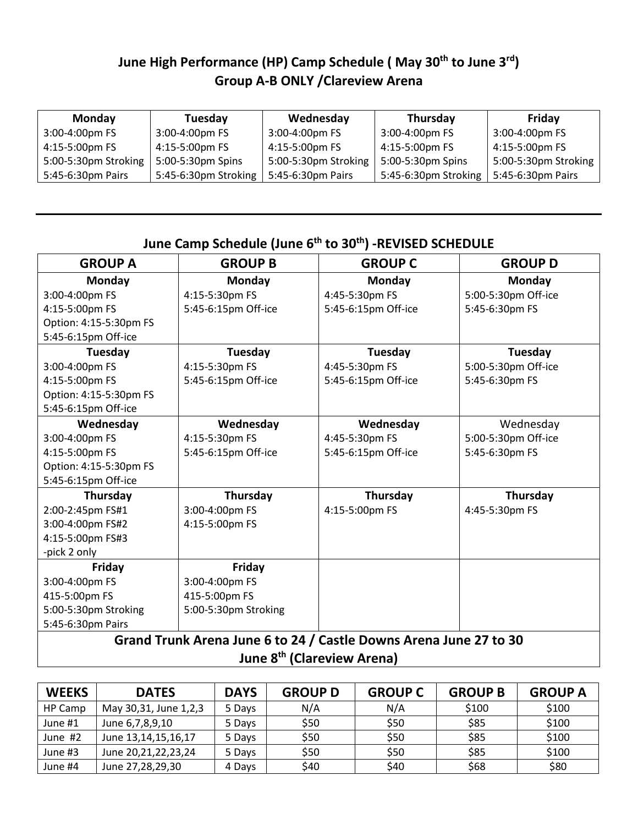# **June High Performance (HP) Camp Schedule ( May 30th to June 3rd) Group A-B ONLY /Clareview Arena**

| <b>Monday</b>        | Tuesday              | Wednesday            | Thursday             | Friday               |
|----------------------|----------------------|----------------------|----------------------|----------------------|
| 3:00-4:00pm FS       | 3:00-4:00pm FS       | 3:00-4:00pm FS       | 3:00-4:00pm FS       | 3:00-4:00pm FS       |
| 4:15-5:00pm FS       | 4:15-5:00pm FS       | 4:15-5:00pm FS       | 4:15-5:00pm FS       | 4:15-5:00pm FS       |
| 5:00-5:30pm Stroking | 5:00-5:30pm Spins    | 5:00-5:30pm Stroking | 5:00-5:30pm Spins    | 5:00-5:30pm Stroking |
| 5:45-6:30pm Pairs    | 5:45-6:30pm Stroking | 5:45-6:30pm Pairs    | 5:45-6:30pm Stroking | 5:45-6:30pm Pairs    |

# **June Camp Schedule (June 6th to 30th) -REVISED SCHEDULE**

| <b>GROUP A</b>                                                    | <b>GROUP B</b>       | <b>GROUP C</b>      | <b>GROUP D</b>      |  |  |
|-------------------------------------------------------------------|----------------------|---------------------|---------------------|--|--|
| Monday                                                            | <b>Monday</b>        | Monday              | Monday              |  |  |
| 3:00-4:00pm FS                                                    | 4:15-5:30pm FS       | 4:45-5:30pm FS      | 5:00-5:30pm Off-ice |  |  |
| 4:15-5:00pm FS                                                    | 5:45-6:15pm Off-ice  | 5:45-6:15pm Off-ice | 5:45-6:30pm FS      |  |  |
| Option: 4:15-5:30pm FS                                            |                      |                     |                     |  |  |
| 5:45-6:15pm Off-ice                                               |                      |                     |                     |  |  |
| Tuesday                                                           | Tuesday              | Tuesday             | Tuesday             |  |  |
| 3:00-4:00pm FS                                                    | 4:15-5:30pm FS       | 4:45-5:30pm FS      | 5:00-5:30pm Off-ice |  |  |
| 4:15-5:00pm FS                                                    | 5:45-6:15pm Off-ice  | 5:45-6:15pm Off-ice | 5:45-6:30pm FS      |  |  |
| Option: 4:15-5:30pm FS                                            |                      |                     |                     |  |  |
| 5:45-6:15pm Off-ice                                               |                      |                     |                     |  |  |
| Wednesday                                                         | Wednesday            | Wednesday           | Wednesday           |  |  |
| 3:00-4:00pm FS                                                    | 4:15-5:30pm FS       | 4:45-5:30pm FS      | 5:00-5:30pm Off-ice |  |  |
| 4:15-5:00pm FS                                                    | 5:45-6:15pm Off-ice  | 5:45-6:15pm Off-ice | 5:45-6:30pm FS      |  |  |
| Option: 4:15-5:30pm FS                                            |                      |                     |                     |  |  |
| 5:45-6:15pm Off-ice                                               |                      |                     |                     |  |  |
| Thursday                                                          | Thursday             | Thursday            | Thursday            |  |  |
| 2:00-2:45pm FS#1                                                  | 3:00-4:00pm FS       | 4:15-5:00pm FS      | 4:45-5:30pm FS      |  |  |
| 3:00-4:00pm FS#2                                                  | 4:15-5:00pm FS       |                     |                     |  |  |
| 4:15-5:00pm FS#3                                                  |                      |                     |                     |  |  |
| -pick 2 only                                                      |                      |                     |                     |  |  |
| Friday                                                            | Friday               |                     |                     |  |  |
| 3:00-4:00pm FS                                                    | 3:00-4:00pm FS       |                     |                     |  |  |
| 415-5:00pm FS                                                     | 415-5:00pm FS        |                     |                     |  |  |
| 5:00-5:30pm Stroking                                              | 5:00-5:30pm Stroking |                     |                     |  |  |
| 5:45-6:30pm Pairs                                                 |                      |                     |                     |  |  |
| Grand Trunk Arena June 6 to 24 / Castle Downs Arena June 27 to 30 |                      |                     |                     |  |  |

**June 8th (Clareview Arena)**

| <b>WEEKS</b> | <b>DATES</b>          | <b>DAYS</b> | <b>GROUP D</b> | <b>GROUP C</b> | <b>GROUP B</b> | <b>GROUP A</b> |
|--------------|-----------------------|-------------|----------------|----------------|----------------|----------------|
| HP Camp      | May 30,31, June 1,2,3 | 5 Days      | N/A            | N/A            | \$100          | \$100          |
| June #1      | June 6,7,8,9,10       | 5 Days      | \$50           | \$50           | \$85           | \$100          |
| June #2      | June 13,14,15,16,17   | 5 Days      | \$50           | \$50           | \$85           | \$100          |
| June #3      | June 20,21,22,23,24   | 5 Days      | \$50           | \$50           | \$85           | \$100          |
| June #4      | June 27,28,29,30      | 4 Days      | \$40           | \$40           | \$68           | \$80           |